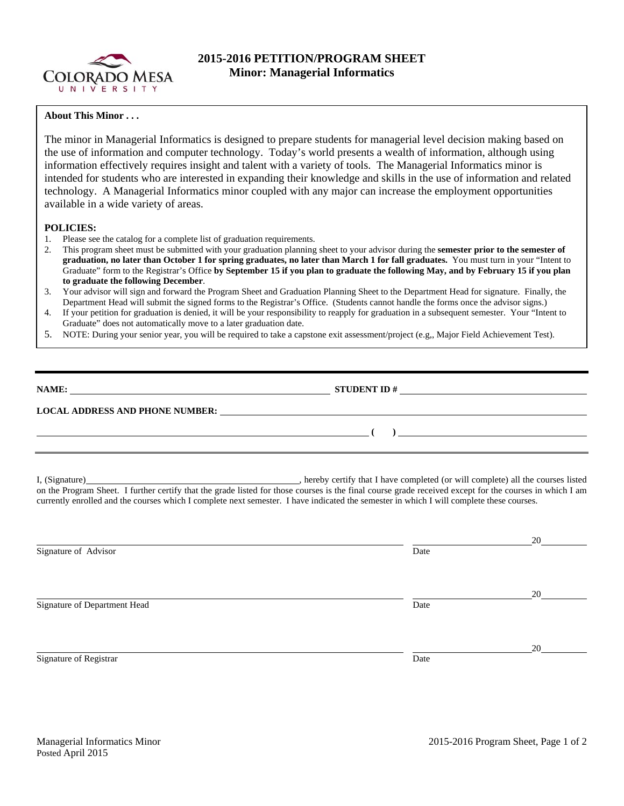

## **2015-2016 PETITION/PROGRAM SHEET Minor: Managerial Informatics**

## **About This Minor . . .**

The minor in Managerial Informatics is designed to prepare students for managerial level decision making based on the use of information and computer technology. Today's world presents a wealth of information, although using information effectively requires insight and talent with a variety of tools. The Managerial Informatics minor is intended for students who are interested in expanding their knowledge and skills in the use of information and related technology. A Managerial Informatics minor coupled with any major can increase the employment opportunities available in a wide variety of areas.

## **POLICIES:**

- 1. Please see the catalog for a complete list of graduation requirements.
- 2. This program sheet must be submitted with your graduation planning sheet to your advisor during the **semester prior to the semester of graduation, no later than October 1 for spring graduates, no later than March 1 for fall graduates.** You must turn in your "Intent to Graduate" form to the Registrar's Office **by September 15 if you plan to graduate the following May, and by February 15 if you plan to graduate the following December**.
- 3. Your advisor will sign and forward the Program Sheet and Graduation Planning Sheet to the Department Head for signature. Finally, the Department Head will submit the signed forms to the Registrar's Office. (Students cannot handle the forms once the advisor signs.)
- 4. If your petition for graduation is denied, it will be your responsibility to reapply for graduation in a subsequent semester. Your "Intent to Graduate" does not automatically move to a later graduation date.
- 5. NOTE: During your senior year, you will be required to take a capstone exit assessment/project (e.g,, Major Field Achievement Test).

| NAME:                                  | <b>STUDENT ID#</b> |  |  |  |  |  |
|----------------------------------------|--------------------|--|--|--|--|--|
| <b>LOCAL ADDRESS AND PHONE NUMBER:</b> |                    |  |  |  |  |  |
|                                        |                    |  |  |  |  |  |

I, (Signature) , hereby certify that I have completed (or will complete) all the courses listed on the Program Sheet. I further certify that the grade listed for those courses is the final course grade received except for the courses in which I am currently enrolled and the courses which I complete next semester. I have indicated the semester in which I will complete these courses.

| 20 |
|----|
|    |
|    |
| 20 |
|    |
|    |